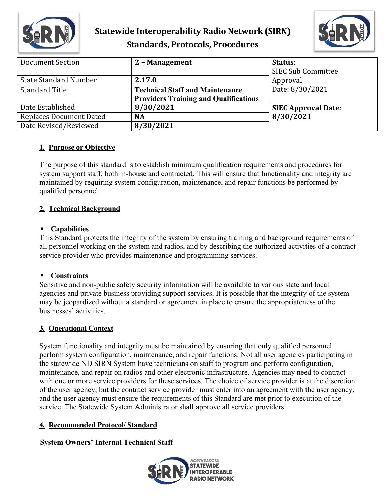

# **Statewide Interoperability Radio Network (SIRN) Standards, Protocols, Procedures**



| <b>Document Section</b>        | 2 - Management                               | Status:<br><b>SIEC Sub Committee</b> |
|--------------------------------|----------------------------------------------|--------------------------------------|
| <b>State Standard Number</b>   | 2.17.0                                       | Approval                             |
| <b>Standard Title</b>          | <b>Technical Staff and Maintenance</b>       | Date: 8/30/2021                      |
|                                | <b>Providers Training and Qualifications</b> |                                      |
| Date Established               | 8/30/2021                                    | <b>SIEC Approval Date:</b>           |
| <b>Replaces Document Dated</b> | <b>NA</b>                                    | 8/30/2021                            |
| Date Revised/Reviewed          | 8/30/2021                                    |                                      |

# **1. Purpose or Objective**

The purpose of this standard is to establish minimum qualification requirements and procedures for system support staff, both in-house and contracted. This will ensure that functionality and integrity are maintained by requiring system configuration, maintenance, and repair functions be performed by qualified personnel.

# **2. Technical Background**

## **Capabilities**

This Standard protects the integrity of the system by ensuring training and background requirements of all personnel working on the system and radios, and by describing the authorized activities of a contract service provider who provides maintenance and programming services.

## **Constraints**

Sensitive and non-public safety security information will be available to various state and local agencies and private business providing support services. It is possible that the integrity of the system may be jeopardized without a standard or agreement in place to ensure the appropriateness of the businesses' activities.

# **3. Operational Context**

System functionality and integrity must be maintained by ensuring that only qualified personnel perform system configuration, maintenance, and repair functions. Not all user agencies participating in the statewide ND SIRN System have technicians on staff to program and perform configuration, maintenance, and repair on radios and other electronic infrastructure. Agencies may need to contract with one or more service providers for these services. The choice of service provider is at the discretion of the user agency, but the contract service provider must enter into an agreement with the user agency, and the user agency must ensure the requirements of this Standard are met prior to execution of the service. The Statewide System Administrator shall approve all service providers.

## **4. Recommended Protocol/ Standard**

**System Owners' Internal Technical Staff**

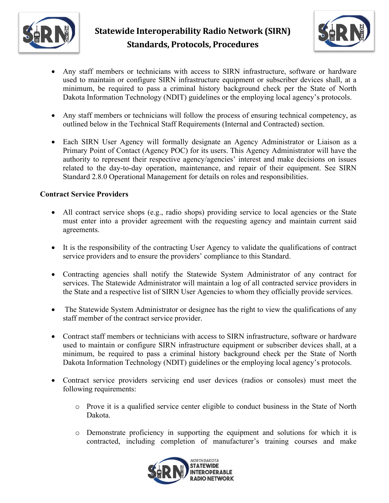



- Any staff members or technicians with access to SIRN infrastructure, software or hardware used to maintain or configure SIRN infrastructure equipment or subscriber devices shall, at a minimum, be required to pass a criminal history background check per the State of North Dakota Information Technology (NDIT) guidelines or the employing local agency's protocols.
- Any staff members or technicians will follow the process of ensuring technical competency, as outlined below in the Technical Staff Requirements (Internal and Contracted) section.
- Each SIRN User Agency will formally designate an Agency Administrator or Liaison as a Primary Point of Contact (Agency POC) for its users. This Agency Administrator will have the authority to represent their respective agency/agencies' interest and make decisions on issues related to the day-to-day operation, maintenance, and repair of their equipment. See SIRN Standard 2.8.0 Operational Management for details on roles and responsibilities.

#### **Contract Service Providers**

- All contract service shops (e.g., radio shops) providing service to local agencies or the State must enter into a provider agreement with the requesting agency and maintain current said agreements.
- It is the responsibility of the contracting User Agency to validate the qualifications of contract service providers and to ensure the providers' compliance to this Standard.
- Contracting agencies shall notify the Statewide System Administrator of any contract for services. The Statewide Administrator will maintain a log of all contracted service providers in the State and a respective list of SIRN User Agencies to whom they officially provide services.
- The Statewide System Administrator or designee has the right to view the qualifications of any staff member of the contract service provider.
- Contract staff members or technicians with access to SIRN infrastructure, software or hardware used to maintain or configure SIRN infrastructure equipment or subscriber devices shall, at a minimum, be required to pass a criminal history background check per the State of North Dakota Information Technology (NDIT) guidelines or the employing local agency's protocols.
- Contract service providers servicing end user devices (radios or consoles) must meet the following requirements:
	- o Prove it is a qualified service center eligible to conduct business in the State of North Dakota.
	- o Demonstrate proficiency in supporting the equipment and solutions for which it is contracted, including completion of manufacturer's training courses and make

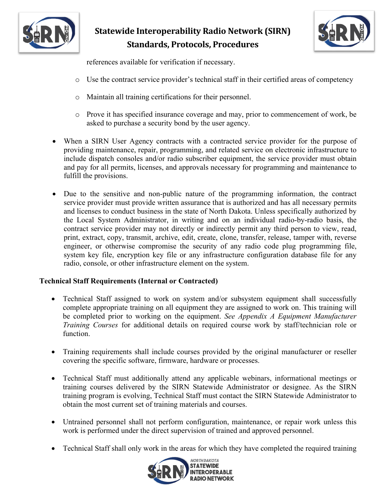

# **Statewide Interoperability Radio Network (SIRN) Standards, Protocols, Procedures**



references available for verification if necessary.

- o Use the contract service provider's technical staff in their certified areas of competency
- o Maintain all training certifications for their personnel.
- o Prove it has specified insurance coverage and may, prior to commencement of work, be asked to purchase a security bond by the user agency.
- When a SIRN User Agency contracts with a contracted service provider for the purpose of providing maintenance, repair, programming, and related service on electronic infrastructure to include dispatch consoles and/or radio subscriber equipment, the service provider must obtain and pay for all permits, licenses, and approvals necessary for programming and maintenance to fulfill the provisions.
- Due to the sensitive and non-public nature of the programming information, the contract service provider must provide written assurance that is authorized and has all necessary permits and licenses to conduct business in the state of North Dakota. Unless specifically authorized by the Local System Administrator, in writing and on an individual radio-by-radio basis, the contract service provider may not directly or indirectly permit any third person to view, read, print, extract, copy, transmit, archive, edit, create, clone, transfer, release, tamper with, reverse engineer, or otherwise compromise the security of any radio code plug programming file, system key file, encryption key file or any infrastructure configuration database file for any radio, console, or other infrastructure element on the system.

#### **Technical Staff Requirements (Internal or Contracted)**

- Technical Staff assigned to work on system and/or subsystem equipment shall successfully complete appropriate training on all equipment they are assigned to work on. This training will be completed prior to working on the equipment. *See Appendix A Equipment Manufacturer Training Courses* for additional details on required course work by staff/technician role or function.
- Training requirements shall include courses provided by the original manufacturer or reseller covering the specific software, firmware, hardware or processes.
- Technical Staff must additionally attend any applicable webinars, informational meetings or training courses delivered by the SIRN Statewide Administrator or designee. As the SIRN training program is evolving, Technical Staff must contact the SIRN Statewide Administrator to obtain the most current set of training materials and courses.
- Untrained personnel shall not perform configuration, maintenance, or repair work unless this work is performed under the direct supervision of trained and approved personnel.
- Technical Staff shall only work in the areas for which they have completed the required training

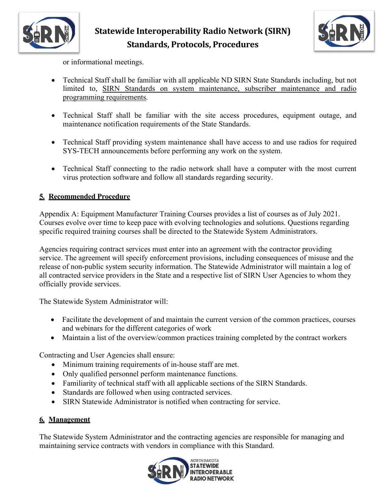



or informational meetings.

- Technical Staff shall be familiar with all applicable ND SIRN State Standards including, but not limited to, SIRN Standards on system maintenance, subscriber maintenance and radio programming requirements.
- Technical Staff shall be familiar with the site access procedures, equipment outage, and maintenance notification requirements of the State Standards.
- Technical Staff providing system maintenance shall have access to and use radios for required SYS-TECH announcements before performing any work on the system.
- Technical Staff connecting to the radio network shall have a computer with the most current virus protection software and follow all standards regarding security.

# **5. Recommended Procedure**

Appendix A: Equipment Manufacturer Training Courses provides a list of courses as of July 2021. Courses evolve over time to keep pace with evolving technologies and solutions. Questions regarding specific required training courses shall be directed to the Statewide System Administrators.

Agencies requiring contract services must enter into an agreement with the contractor providing service. The agreement will specify enforcement provisions, including consequences of misuse and the release of non-public system security information. The Statewide Administrator will maintain a log of all contracted service providers in the State and a respective list of SIRN User Agencies to whom they officially provide services.

The Statewide System Administrator will:

- Facilitate the development of and maintain the current version of the common practices, courses and webinars for the different categories of work
- Maintain a list of the overview/common practices training completed by the contract workers

Contracting and User Agencies shall ensure:

- Minimum training requirements of in-house staff are met.
- Only qualified personnel perform maintenance functions.
- Familiarity of technical staff with all applicable sections of the SIRN Standards.
- Standards are followed when using contracted services.
- SIRN Statewide Administrator is notified when contracting for service.

# **6. Management**

The Statewide System Administrator and the contracting agencies are responsible for managing and maintaining service contracts with vendors in compliance with this Standard.

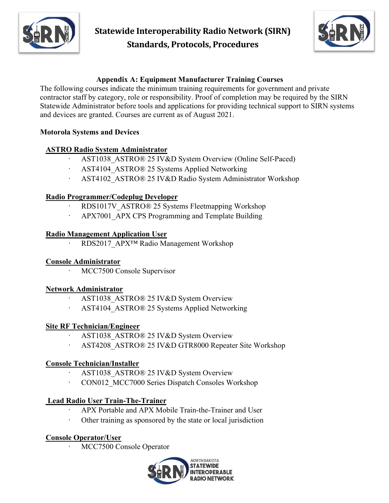

**Statewide Interoperability Radio Network (SIRN) Standards, Protocols, Procedures**



# **Appendix A: Equipment Manufacturer Training Courses**

The following courses indicate the minimum training requirements for government and private contractor staff by category, role or responsibility. Proof of completion may be required by the SIRN Statewide Administrator before tools and applications for providing technical support to SIRN systems and devices are granted. Courses are current as of August 2021.

#### **Motorola Systems and Devices**

## **ASTRO Radio System Administrator**

- · AST1038\_ASTRO® 25 IV&D System Overview (Online Self-Paced)
- AST4104 ASTRO® 25 Systems Applied Networking
- · AST4102\_ASTRO® 25 IV&D Radio System Administrator Workshop

#### **Radio Programmer/Codeplug Developer**

- RDS1017V\_ASTRO® 25 Systems Fleetmapping Workshop
- APX7001 APX CPS Programming and Template Building

#### **Radio Management Application User**

RDS2017\_APX™ Radio Management Workshop

#### **Console Administrator**

MCC7500 Console Supervisor

#### **Network Administrator**

- AST1038 ASTRO® 25 IV&D System Overview
- AST4104 ASTRO® 25 Systems Applied Networking

#### **Site RF Technician/Engineer**

- AST1038 ASTRO® 25 IV&D System Overview
- AST4208 ASTRO® 25 IV&D GTR8000 Repeater Site Workshop

## **Console Technician/Installer**

- AST1038 ASTRO® 25 IV&D System Overview
- CON012 MCC7000 Series Dispatch Consoles Workshop

## **Lead Radio User Train-The-Trainer**

- APX Portable and APX Mobile Train-the-Trainer and User
- · Other training as sponsored by the state or local jurisdiction

## **Console Operator/User**

MCC7500 Console Operator